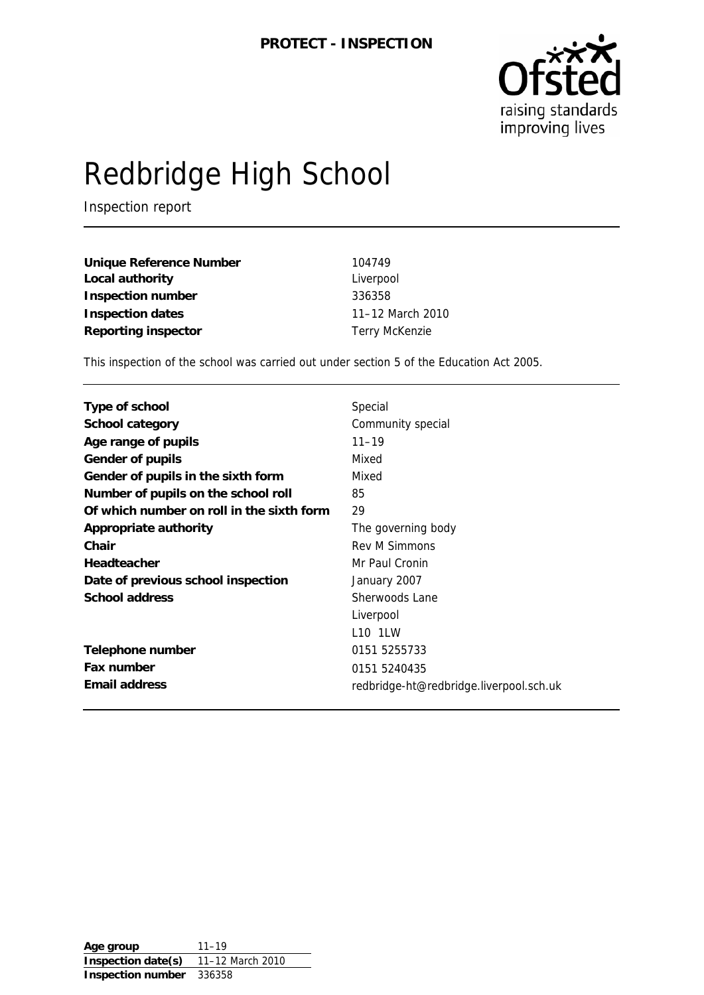

# Redbridge High School

Inspection report

| Unique Reference Number    | 104749                |
|----------------------------|-----------------------|
| Local authority            | Liverpool             |
| <b>Inspection number</b>   | 336358                |
| <b>Inspection dates</b>    | 11-12 March 2010      |
| <b>Reporting inspector</b> | <b>Terry McKenzie</b> |

This inspection of the school was carried out under section 5 of the Education Act 2005.

| <b>Type of school</b>                     | Special                                 |
|-------------------------------------------|-----------------------------------------|
| <b>School category</b>                    | Community special                       |
| Age range of pupils                       | $11 - 19$                               |
| <b>Gender of pupils</b>                   | Mixed                                   |
| Gender of pupils in the sixth form        | Mixed                                   |
| Number of pupils on the school roll       | 85                                      |
| Of which number on roll in the sixth form | 29                                      |
| Appropriate authority                     | The governing body                      |
| Chair                                     | <b>Rev M Simmons</b>                    |
| Headteacher                               | Mr Paul Cronin                          |
| Date of previous school inspection        | January 2007                            |
| <b>School address</b>                     | Sherwoods Lane                          |
|                                           | Liverpool                               |
|                                           | L10 1LW                                 |
| Telephone number                          | 0151 5255733                            |
| Fax number                                | 0151 5240435                            |
| <b>Email address</b>                      | redbridge-ht@redbridge.liverpool.sch.uk |

| Age group                | $11 - 19$        |
|--------------------------|------------------|
| Inspection date(s)       | 11-12 March 2010 |
| <b>Inspection number</b> | 336358           |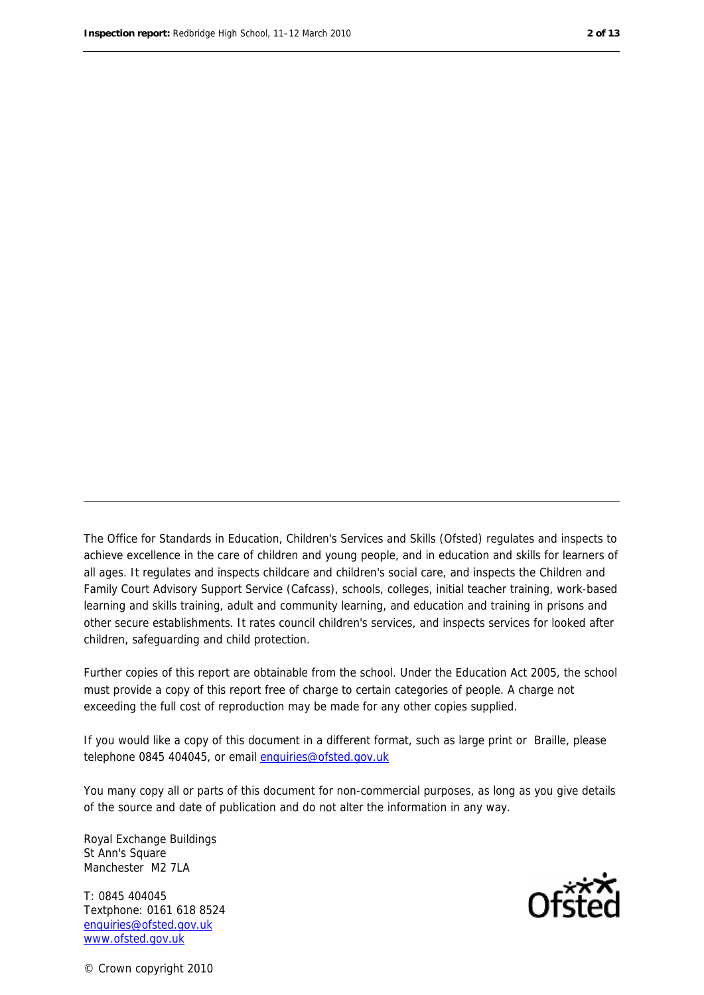The Office for Standards in Education, Children's Services and Skills (Ofsted) regulates and inspects to achieve excellence in the care of children and young people, and in education and skills for learners of all ages. It regulates and inspects childcare and children's social care, and inspects the Children and Family Court Advisory Support Service (Cafcass), schools, colleges, initial teacher training, work-based learning and skills training, adult and community learning, and education and training in prisons and other secure establishments. It rates council children's services, and inspects services for looked after children, safeguarding and child protection.

Further copies of this report are obtainable from the school. Under the Education Act 2005, the school must provide a copy of this report free of charge to certain categories of people. A charge not exceeding the full cost of reproduction may be made for any other copies supplied.

If you would like a copy of this document in a different format, such as large print or Braille, please telephone 0845 404045, or email enquiries@ofsted.gov.uk

You many copy all or parts of this document for non-commercial purposes, as long as you give details of the source and date of publication and do not alter the information in any way.

Royal Exchange Buildings St Ann's Square Manchester M2 7LA

T: 0845 404045 Textphone: 0161 618 8524 enquiries@ofsted.gov.uk www.ofsted.gov.uk



© Crown copyright 2010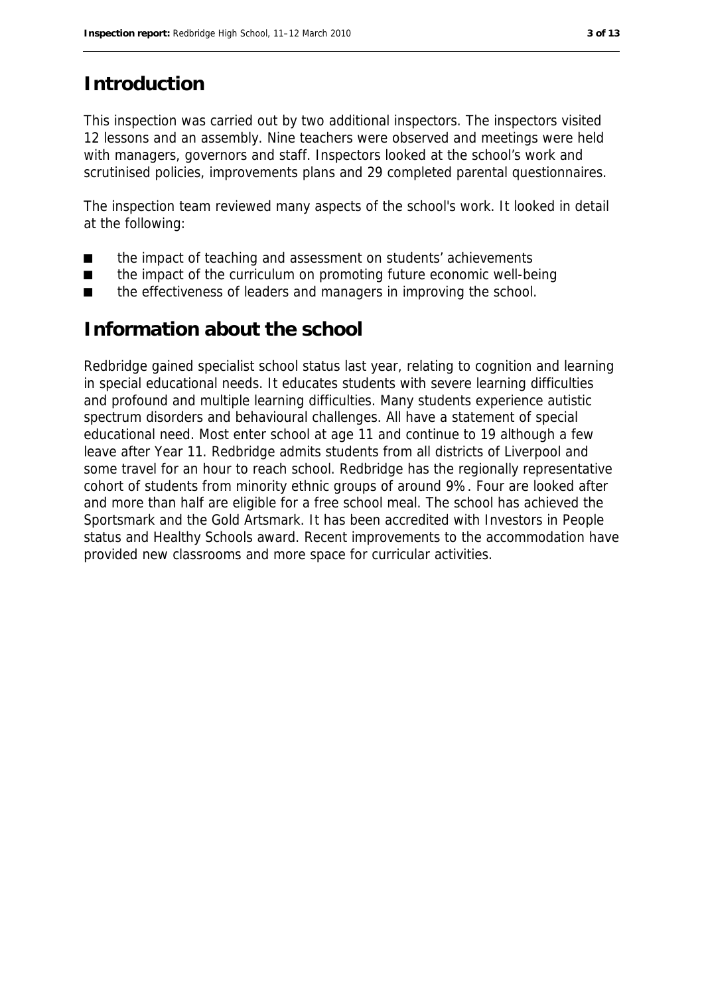# **Introduction**

This inspection was carried out by two additional inspectors. The inspectors visited 12 lessons and an assembly. Nine teachers were observed and meetings were held with managers, governors and staff. Inspectors looked at the school's work and scrutinised policies, improvements plans and 29 completed parental questionnaires.

The inspection team reviewed many aspects of the school's work. It looked in detail at the following:

- the impact of teaching and assessment on students' achievements
- the impact of the curriculum on promoting future economic well-being
- the effectiveness of leaders and managers in improving the school.

## **Information about the school**

Redbridge gained specialist school status last year, relating to cognition and learning in special educational needs. It educates students with severe learning difficulties and profound and multiple learning difficulties. Many students experience autistic spectrum disorders and behavioural challenges. All have a statement of special educational need. Most enter school at age 11 and continue to 19 although a few leave after Year 11. Redbridge admits students from all districts of Liverpool and some travel for an hour to reach school. Redbridge has the regionally representative cohort of students from minority ethnic groups of around 9%. Four are looked after and more than half are eligible for a free school meal. The school has achieved the Sportsmark and the Gold Artsmark. It has been accredited with Investors in People status and Healthy Schools award. Recent improvements to the accommodation have provided new classrooms and more space for curricular activities.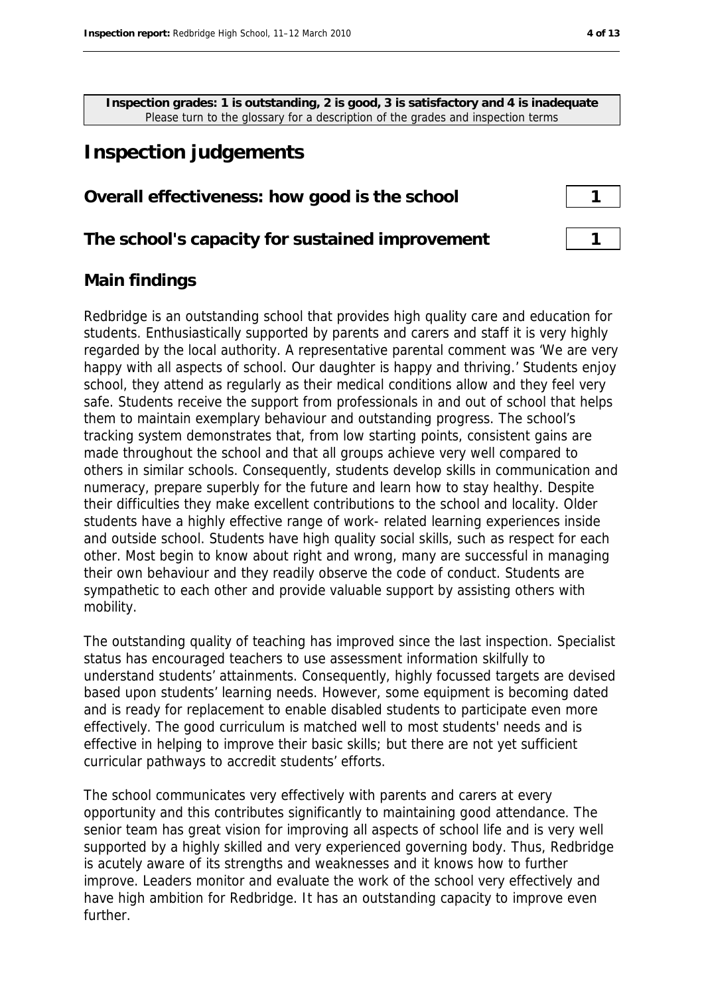**Inspection grades: 1 is outstanding, 2 is good, 3 is satisfactory and 4 is inadequate** Please turn to the glossary for a description of the grades and inspection terms

# **Inspection judgements**

#### **Overall effectiveness: how good is the school** 1

#### **The school's capacity for sustained improvement** 1

#### **Main findings**

Redbridge is an outstanding school that provides high quality care and education for students. Enthusiastically supported by parents and carers and staff it is very highly regarded by the local authority. A representative parental comment was 'We are very happy with all aspects of school. Our daughter is happy and thriving.' Students enjoy school, they attend as regularly as their medical conditions allow and they feel very safe. Students receive the support from professionals in and out of school that helps them to maintain exemplary behaviour and outstanding progress. The school's tracking system demonstrates that, from low starting points, consistent gains are made throughout the school and that all groups achieve very well compared to others in similar schools. Consequently, students develop skills in communication and numeracy, prepare superbly for the future and learn how to stay healthy. Despite their difficulties they make excellent contributions to the school and locality. Older students have a highly effective range of work- related learning experiences inside and outside school. Students have high quality social skills, such as respect for each other. Most begin to know about right and wrong, many are successful in managing their own behaviour and they readily observe the code of conduct. Students are sympathetic to each other and provide valuable support by assisting others with mobility.

The outstanding quality of teaching has improved since the last inspection. Specialist status has encouraged teachers to use assessment information skilfully to understand students' attainments. Consequently, highly focussed targets are devised based upon students' learning needs. However, some equipment is becoming dated and is ready for replacement to enable disabled students to participate even more effectively. The good curriculum is matched well to most students' needs and is effective in helping to improve their basic skills; but there are not yet sufficient curricular pathways to accredit students' efforts.

The school communicates very effectively with parents and carers at every opportunity and this contributes significantly to maintaining good attendance. The senior team has great vision for improving all aspects of school life and is very well supported by a highly skilled and very experienced governing body. Thus, Redbridge is acutely aware of its strengths and weaknesses and it knows how to further improve. Leaders monitor and evaluate the work of the school very effectively and have high ambition for Redbridge. It has an outstanding capacity to improve even further.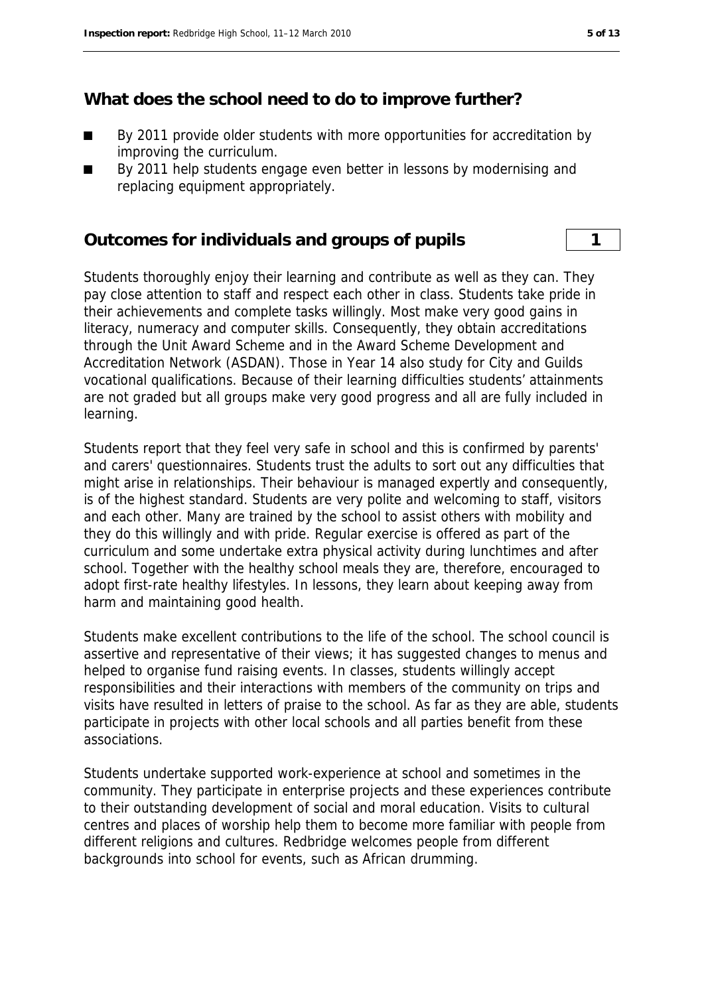#### **What does the school need to do to improve further?**

- By 2011 provide older students with more opportunities for accreditation by improving the curriculum.
- By 2011 help students engage even better in lessons by modernising and replacing equipment appropriately.

#### **Outcomes for individuals and groups of pupils 1**

Students thoroughly enjoy their learning and contribute as well as they can. They pay close attention to staff and respect each other in class. Students take pride in their achievements and complete tasks willingly. Most make very good gains in literacy, numeracy and computer skills. Consequently, they obtain accreditations through the Unit Award Scheme and in the Award Scheme Development and Accreditation Network (ASDAN). Those in Year 14 also study for City and Guilds vocational qualifications. Because of their learning difficulties students' attainments are not graded but all groups make very good progress and all are fully included in learning.

Students report that they feel very safe in school and this is confirmed by parents' and carers' questionnaires. Students trust the adults to sort out any difficulties that might arise in relationships. Their behaviour is managed expertly and consequently, is of the highest standard. Students are very polite and welcoming to staff, visitors and each other. Many are trained by the school to assist others with mobility and they do this willingly and with pride. Regular exercise is offered as part of the curriculum and some undertake extra physical activity during lunchtimes and after school. Together with the healthy school meals they are, therefore, encouraged to adopt first-rate healthy lifestyles. In lessons, they learn about keeping away from harm and maintaining good health.

Students make excellent contributions to the life of the school. The school council is assertive and representative of their views; it has suggested changes to menus and helped to organise fund raising events. In classes, students willingly accept responsibilities and their interactions with members of the community on trips and visits have resulted in letters of praise to the school. As far as they are able, students participate in projects with other local schools and all parties benefit from these associations.

Students undertake supported work-experience at school and sometimes in the community. They participate in enterprise projects and these experiences contribute to their outstanding development of social and moral education. Visits to cultural centres and places of worship help them to become more familiar with people from different religions and cultures. Redbridge welcomes people from different backgrounds into school for events, such as African drumming.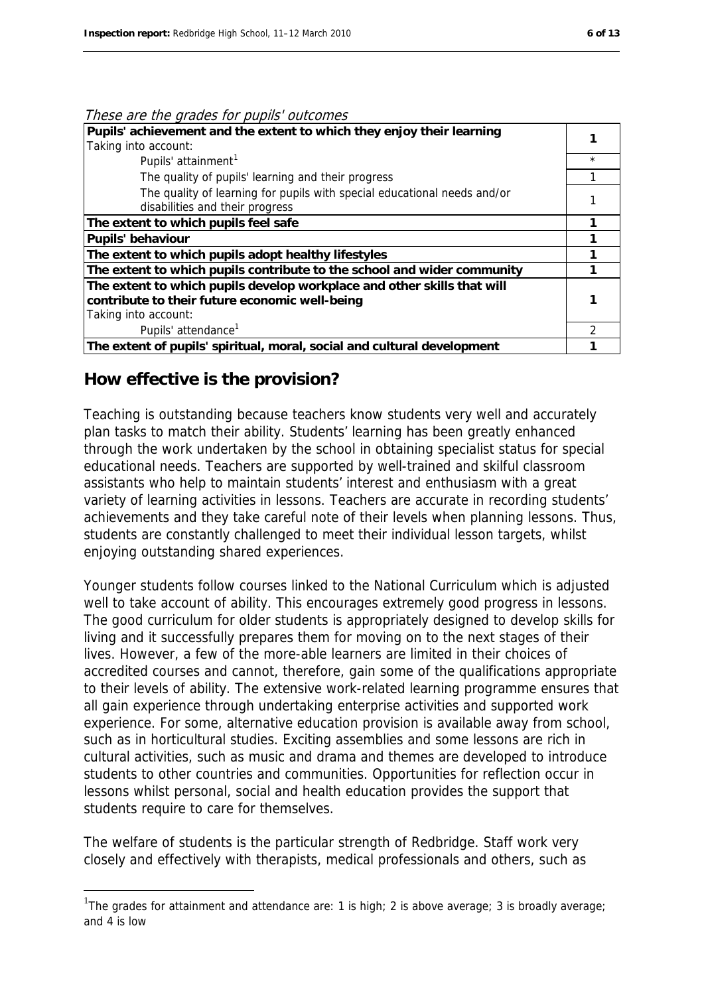#### These are the grades for pupils' outcomes

| Pupils' achievement and the extent to which they enjoy their learning<br>Taking into account:                                                     |         |
|---------------------------------------------------------------------------------------------------------------------------------------------------|---------|
| Pupils' attainment <sup>1</sup>                                                                                                                   | $\star$ |
| The quality of pupils' learning and their progress                                                                                                |         |
| The quality of learning for pupils with special educational needs and/or<br>disabilities and their progress                                       |         |
| The extent to which pupils feel safe                                                                                                              |         |
| <b>Pupils' behaviour</b>                                                                                                                          |         |
| The extent to which pupils adopt healthy lifestyles                                                                                               |         |
| The extent to which pupils contribute to the school and wider community                                                                           |         |
| The extent to which pupils develop workplace and other skills that will<br>contribute to their future economic well-being<br>Taking into account: |         |
| Pupils' attendance <sup>1</sup>                                                                                                                   | ာ       |
| The extent of pupils' spiritual, moral, social and cultural development                                                                           |         |

#### **How effective is the provision?**

1

Teaching is outstanding because teachers know students very well and accurately plan tasks to match their ability. Students' learning has been greatly enhanced through the work undertaken by the school in obtaining specialist status for special educational needs. Teachers are supported by well-trained and skilful classroom assistants who help to maintain students' interest and enthusiasm with a great variety of learning activities in lessons. Teachers are accurate in recording students' achievements and they take careful note of their levels when planning lessons. Thus, students are constantly challenged to meet their individual lesson targets, whilst enjoying outstanding shared experiences.

Younger students follow courses linked to the National Curriculum which is adjusted well to take account of ability. This encourages extremely good progress in lessons. The good curriculum for older students is appropriately designed to develop skills for living and it successfully prepares them for moving on to the next stages of their lives. However, a few of the more-able learners are limited in their choices of accredited courses and cannot, therefore, gain some of the qualifications appropriate to their levels of ability. The extensive work-related learning programme ensures that all gain experience through undertaking enterprise activities and supported work experience. For some, alternative education provision is available away from school, such as in horticultural studies. Exciting assemblies and some lessons are rich in cultural activities, such as music and drama and themes are developed to introduce students to other countries and communities. Opportunities for reflection occur in lessons whilst personal, social and health education provides the support that students require to care for themselves.

The welfare of students is the particular strength of Redbridge. Staff work very closely and effectively with therapists, medical professionals and others, such as

<span id="page-5-0"></span><sup>&</sup>lt;sup>1</sup>The grades for attainment and attendance are: 1 is high; 2 is above average; 3 is broadly average; and 4 is low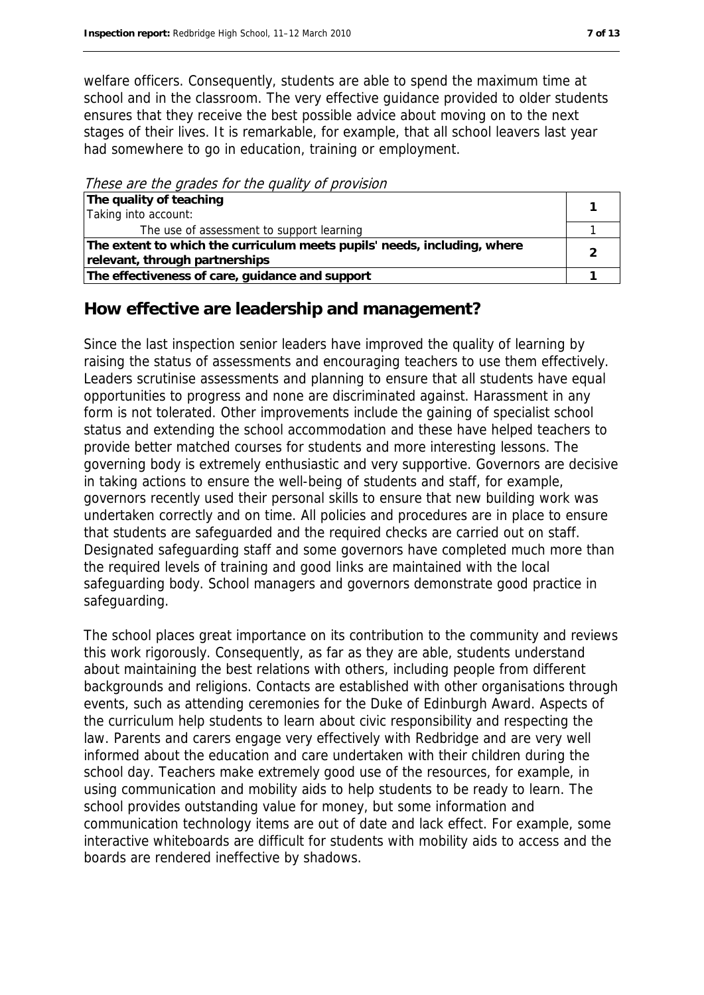welfare officers. Consequently, students are able to spend the maximum time at school and in the classroom. The very effective guidance provided to older students ensures that they receive the best possible advice about moving on to the next stages of their lives. It is remarkable, for example, that all school leavers last year had somewhere to go in education, training or employment.

These are the grades for the quality of provision

| The quality of teaching                                                  |  |
|--------------------------------------------------------------------------|--|
| Taking into account:                                                     |  |
| The use of assessment to support learning                                |  |
| The extent to which the curriculum meets pupils' needs, including, where |  |
| relevant, through partnerships                                           |  |
| The effectiveness of care, guidance and support                          |  |

#### **How effective are leadership and management?**

Since the last inspection senior leaders have improved the quality of learning by raising the status of assessments and encouraging teachers to use them effectively. Leaders scrutinise assessments and planning to ensure that all students have equal opportunities to progress and none are discriminated against. Harassment in any form is not tolerated. Other improvements include the gaining of specialist school status and extending the school accommodation and these have helped teachers to provide better matched courses for students and more interesting lessons. The governing body is extremely enthusiastic and very supportive. Governors are decisive in taking actions to ensure the well-being of students and staff, for example, governors recently used their personal skills to ensure that new building work was undertaken correctly and on time. All policies and procedures are in place to ensure that students are safeguarded and the required checks are carried out on staff. Designated safeguarding staff and some governors have completed much more than the required levels of training and good links are maintained with the local safeguarding body. School managers and governors demonstrate good practice in safeguarding.

The school places great importance on its contribution to the community and reviews this work rigorously. Consequently, as far as they are able, students understand about maintaining the best relations with others, including people from different backgrounds and religions. Contacts are established with other organisations through events, such as attending ceremonies for the Duke of Edinburgh Award. Aspects of the curriculum help students to learn about civic responsibility and respecting the law. Parents and carers engage very effectively with Redbridge and are very well informed about the education and care undertaken with their children during the school day. Teachers make extremely good use of the resources, for example, in using communication and mobility aids to help students to be ready to learn. The school provides outstanding value for money, but some information and communication technology items are out of date and lack effect. For example, some interactive whiteboards are difficult for students with mobility aids to access and the boards are rendered ineffective by shadows.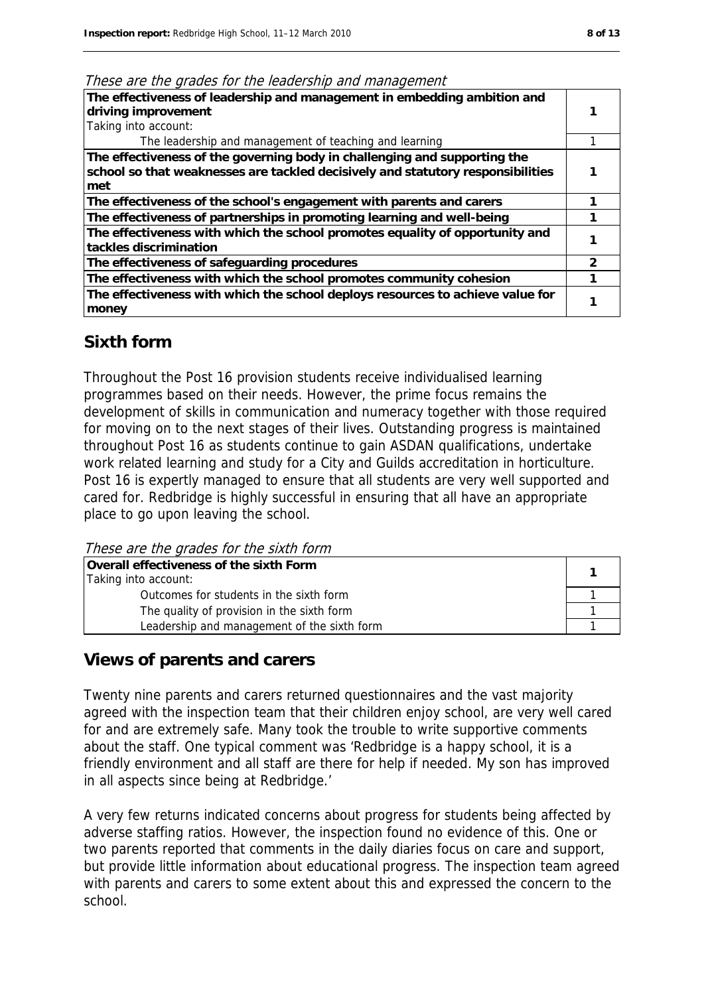These are the grades for the leadership and management

| The effectiveness of leadership and management in embedding ambition and<br>driving improvement<br>Taking into account:                                             |              |
|---------------------------------------------------------------------------------------------------------------------------------------------------------------------|--------------|
| The leadership and management of teaching and learning                                                                                                              |              |
| The effectiveness of the governing body in challenging and supporting the<br>school so that weaknesses are tackled decisively and statutory responsibilities<br>met |              |
| The effectiveness of the school's engagement with parents and carers                                                                                                |              |
| The effectiveness of partnerships in promoting learning and well-being                                                                                              |              |
| The effectiveness with which the school promotes equality of opportunity and<br>tackles discrimination                                                              |              |
| The effectiveness of safeguarding procedures                                                                                                                        | $\mathbf{c}$ |
| The effectiveness with which the school promotes community cohesion                                                                                                 |              |
| The effectiveness with which the school deploys resources to achieve value for<br>money                                                                             |              |

#### **Sixth form**

Throughout the Post 16 provision students receive individualised learning programmes based on their needs. However, the prime focus remains the development of skills in communication and numeracy together with those required for moving on to the next stages of their lives. Outstanding progress is maintained throughout Post 16 as students continue to gain ASDAN qualifications, undertake work related learning and study for a City and Guilds accreditation in horticulture. Post 16 is expertly managed to ensure that all students are very well supported and cared for. Redbridge is highly successful in ensuring that all have an appropriate place to go upon leaving the school.

These are the grades for the sixth form

| Overall effectiveness of the sixth Form     |  |  |
|---------------------------------------------|--|--|
| Taking into account:                        |  |  |
| Outcomes for students in the sixth form     |  |  |
| The quality of provision in the sixth form  |  |  |
| Leadership and management of the sixth form |  |  |

#### **Views of parents and carers**

Twenty nine parents and carers returned questionnaires and the vast majority agreed with the inspection team that their children enjoy school, are very well cared for and are extremely safe. Many took the trouble to write supportive comments about the staff. One typical comment was 'Redbridge is a happy school, it is a friendly environment and all staff are there for help if needed. My son has improved in all aspects since being at Redbridge.'

A very few returns indicated concerns about progress for students being affected by adverse staffing ratios. However, the inspection found no evidence of this. One or two parents reported that comments in the daily diaries focus on care and support, but provide little information about educational progress. The inspection team agreed with parents and carers to some extent about this and expressed the concern to the school.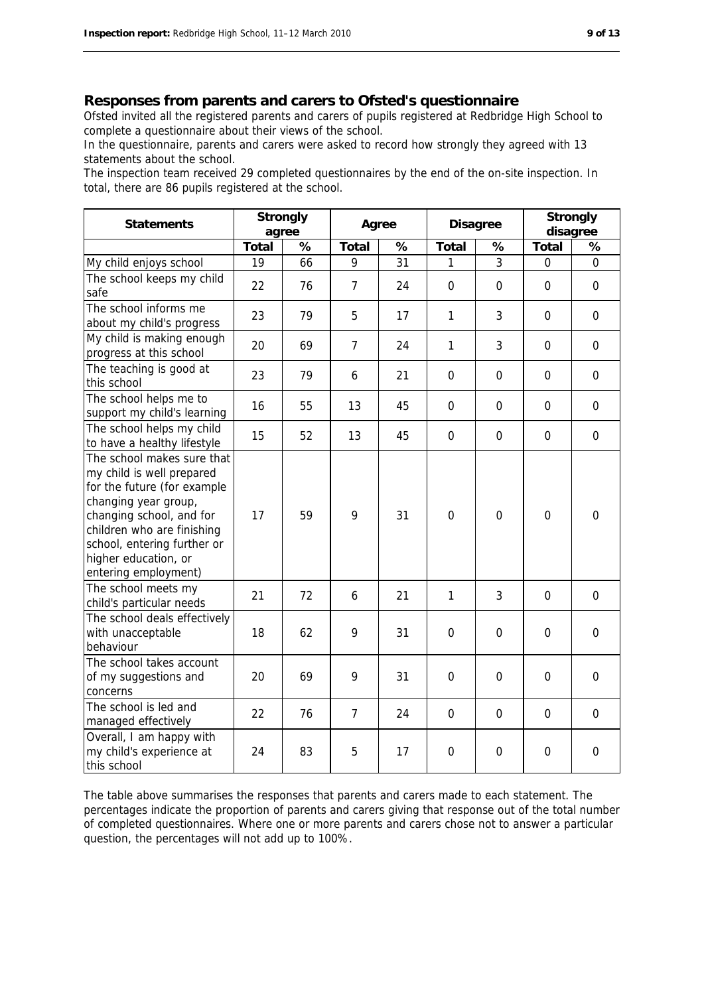#### **Responses from parents and carers to Ofsted's questionnaire**

Ofsted invited all the registered parents and carers of pupils registered at Redbridge High School to complete a questionnaire about their views of the school.

In the questionnaire, parents and carers were asked to record how strongly they agreed with 13 statements about the school.

The inspection team received 29 completed questionnaires by the end of the on-site inspection. In total, there are 86 pupils registered at the school.

| <b>Statements</b>                                                                                                                                                                                                                                       | <b>Strongly</b><br>agree |    | Agree          |    | <b>Disagree</b> |             | <b>Strongly</b><br>disagree |                |
|---------------------------------------------------------------------------------------------------------------------------------------------------------------------------------------------------------------------------------------------------------|--------------------------|----|----------------|----|-----------------|-------------|-----------------------------|----------------|
|                                                                                                                                                                                                                                                         | <b>Total</b>             | %  | <b>Total</b>   | %  | <b>Total</b>    | %           | <b>Total</b>                | %              |
| My child enjoys school                                                                                                                                                                                                                                  | 19                       | 66 | 9              | 31 | 1               | 3           | $\overline{0}$              | $\overline{0}$ |
| The school keeps my child<br>safe                                                                                                                                                                                                                       | 22                       | 76 | $\overline{7}$ | 24 | $\mathbf 0$     | $\mathbf 0$ | $\Omega$                    | $\mathbf 0$    |
| The school informs me<br>about my child's progress                                                                                                                                                                                                      | 23                       | 79 | 5              | 17 | 1               | 3           | $\mathbf 0$                 | $\mathbf 0$    |
| My child is making enough<br>progress at this school                                                                                                                                                                                                    | 20                       | 69 | $\overline{7}$ | 24 | $\mathbf{1}$    | 3           | 0                           | 0              |
| The teaching is good at<br>this school                                                                                                                                                                                                                  | 23                       | 79 | 6              | 21 | $\mathbf 0$     | 0           | $\mathbf 0$                 | $\mathbf 0$    |
| The school helps me to<br>support my child's learning                                                                                                                                                                                                   | 16                       | 55 | 13             | 45 | $\mathbf 0$     | $\mathbf 0$ | $\mathbf 0$                 | $\mathbf 0$    |
| The school helps my child<br>to have a healthy lifestyle                                                                                                                                                                                                | 15                       | 52 | 13             | 45 | $\mathbf 0$     | 0           | $\mathbf 0$                 | $\mathbf 0$    |
| The school makes sure that<br>my child is well prepared<br>for the future (for example<br>changing year group,<br>changing school, and for<br>children who are finishing<br>school, entering further or<br>higher education, or<br>entering employment) | 17                       | 59 | 9              | 31 | $\overline{0}$  | 0           | $\overline{0}$              | $\mathbf 0$    |
| The school meets my<br>child's particular needs                                                                                                                                                                                                         | 21                       | 72 | 6              | 21 | $\mathbf{1}$    | 3           | $\overline{0}$              | 0              |
| The school deals effectively<br>with unacceptable<br>behaviour                                                                                                                                                                                          | 18                       | 62 | 9              | 31 | 0               | 0           | 0                           | 0              |
| The school takes account<br>of my suggestions and<br>concerns                                                                                                                                                                                           | 20                       | 69 | 9              | 31 | $\mathbf 0$     | $\mathbf 0$ | 0                           | $\mathbf 0$    |
| The school is led and<br>managed effectively                                                                                                                                                                                                            | 22                       | 76 | $\overline{7}$ | 24 | $\mathbf 0$     | 0           | 0                           | 0              |
| Overall, I am happy with<br>my child's experience at<br>this school                                                                                                                                                                                     | 24                       | 83 | 5              | 17 | $\mathbf 0$     | 0           | $\mathbf 0$                 | 0              |

The table above summarises the responses that parents and carers made to each statement. The percentages indicate the proportion of parents and carers giving that response out of the total number of completed questionnaires. Where one or more parents and carers chose not to answer a particular question, the percentages will not add up to 100%.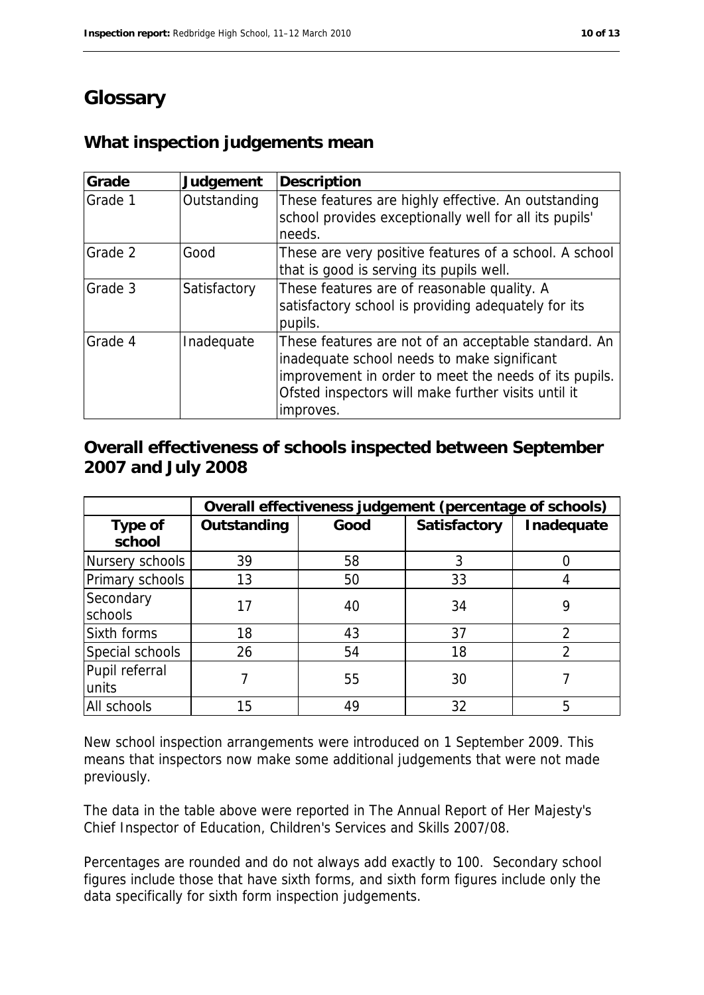# **Glossary**

# **What inspection judgements mean**

| Grade   | Judgement    | <b>Description</b>                                                                                                                                                                                                               |
|---------|--------------|----------------------------------------------------------------------------------------------------------------------------------------------------------------------------------------------------------------------------------|
| Grade 1 | Outstanding  | These features are highly effective. An outstanding<br>school provides exceptionally well for all its pupils'<br>needs.                                                                                                          |
| Grade 2 | Good         | These are very positive features of a school. A school<br>that is good is serving its pupils well.                                                                                                                               |
| Grade 3 | Satisfactory | These features are of reasonable quality. A<br>satisfactory school is providing adequately for its<br>pupils.                                                                                                                    |
| Grade 4 | Inadequate   | These features are not of an acceptable standard. An<br>inadequate school needs to make significant<br>improvement in order to meet the needs of its pupils.<br>Ofsted inspectors will make further visits until it<br>improves. |

### **Overall effectiveness of schools inspected between September 2007 and July 2008**

|                          | Overall effectiveness judgement (percentage of schools) |      |                     |            |
|--------------------------|---------------------------------------------------------|------|---------------------|------------|
| <b>Type of</b><br>school | Outstanding                                             | Good | <b>Satisfactory</b> | Inadequate |
| Nursery schools          | 39                                                      | 58   | 3                   |            |
| Primary schools          | 13                                                      | 50   | 33                  |            |
| Secondary<br>schools     | 17                                                      | 40   | 34                  |            |
| Sixth forms              | 18                                                      | 43   | 37                  | 2          |
| Special schools          | 26                                                      | 54   | 18                  | າ          |
| Pupil referral<br>units  |                                                         | 55   | 30                  |            |
| All schools              | 15                                                      | 49   | 32                  | 5          |

New school inspection arrangements were introduced on 1 September 2009. This means that inspectors now make some additional judgements that were not made previously.

The data in the table above were reported in The Annual Report of Her Majesty's Chief Inspector of Education, Children's Services and Skills 2007/08.

Percentages are rounded and do not always add exactly to 100. Secondary school figures include those that have sixth forms, and sixth form figures include only the data specifically for sixth form inspection judgements.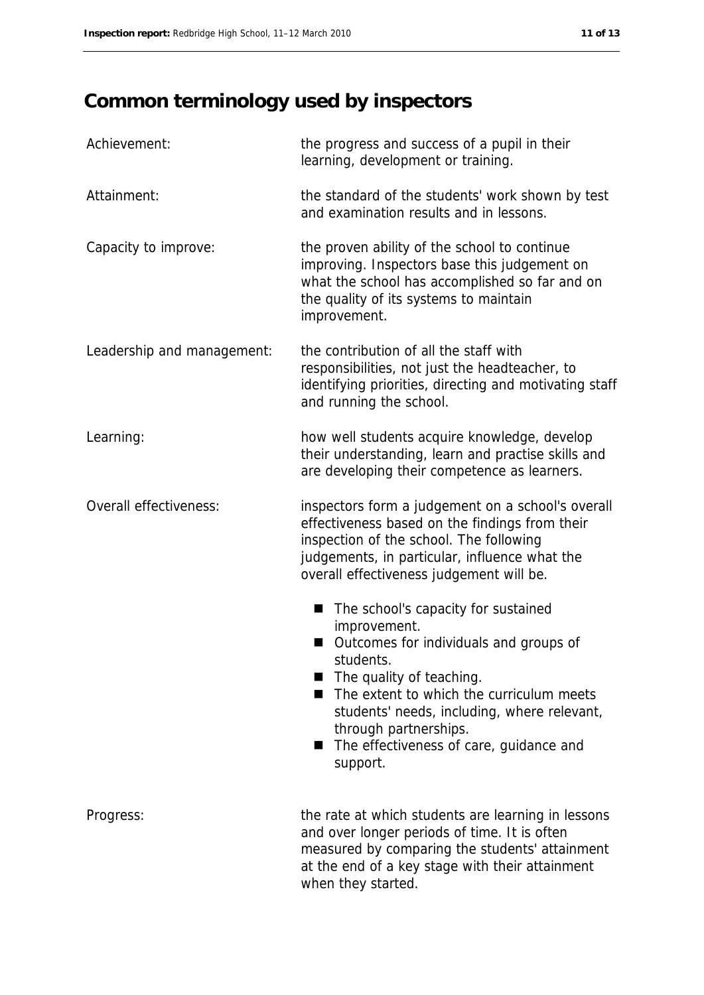# **Common terminology used by inspectors**

| Achievement:               | the progress and success of a pupil in their<br>learning, development or training.                                                                                                                                                                                                                                      |
|----------------------------|-------------------------------------------------------------------------------------------------------------------------------------------------------------------------------------------------------------------------------------------------------------------------------------------------------------------------|
| Attainment:                | the standard of the students' work shown by test<br>and examination results and in lessons.                                                                                                                                                                                                                             |
| Capacity to improve:       | the proven ability of the school to continue<br>improving. Inspectors base this judgement on<br>what the school has accomplished so far and on<br>the quality of its systems to maintain<br>improvement.                                                                                                                |
| Leadership and management: | the contribution of all the staff with<br>responsibilities, not just the headteacher, to<br>identifying priorities, directing and motivating staff<br>and running the school.                                                                                                                                           |
| Learning:                  | how well students acquire knowledge, develop<br>their understanding, learn and practise skills and<br>are developing their competence as learners.                                                                                                                                                                      |
| Overall effectiveness:     | inspectors form a judgement on a school's overall<br>effectiveness based on the findings from their<br>inspection of the school. The following<br>judgements, in particular, influence what the<br>overall effectiveness judgement will be.                                                                             |
|                            | The school's capacity for sustained<br>improvement.<br>Outcomes for individuals and groups of<br>students.<br>The quality of teaching.<br>The extent to which the curriculum meets<br>students' needs, including, where relevant,<br>through partnerships.<br>The effectiveness of care, guidance and<br>m.<br>support. |
| Progress:                  | the rate at which students are learning in lessons<br>and over longer periods of time. It is often<br>measured by comparing the students' attainment<br>at the end of a key stage with their attainment<br>when they started.                                                                                           |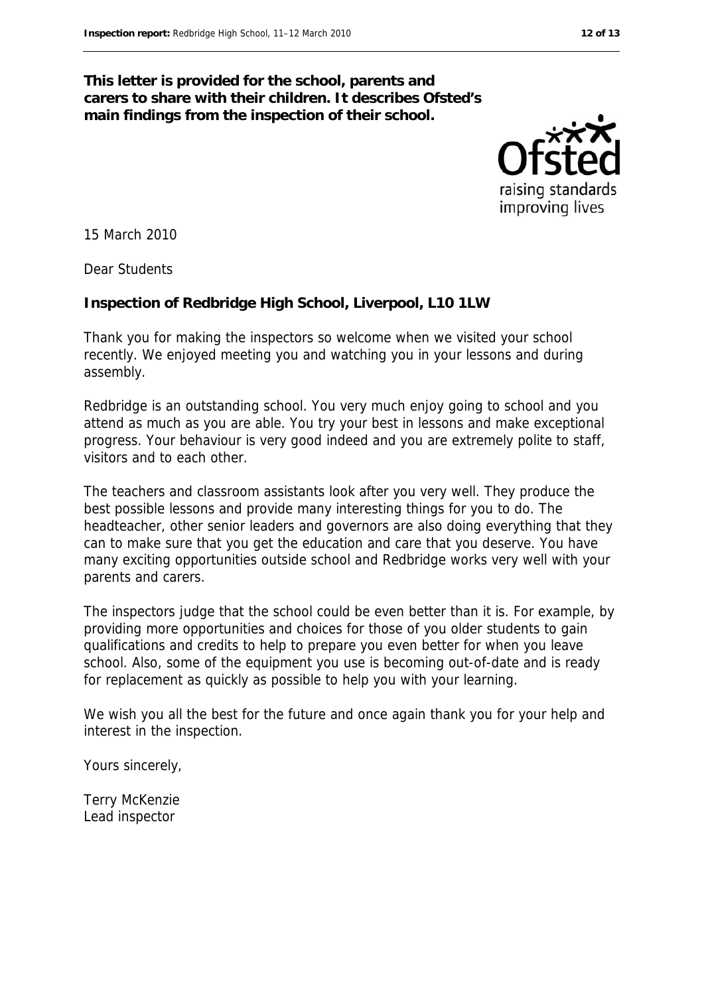#### **This letter is provided for the school, parents and carers to share with their children. It describes Ofsted's main findings from the inspection of their school.**



15 March 2010

Dear Students

#### **Inspection of Redbridge High School, Liverpool, L10 1LW**

Thank you for making the inspectors so welcome when we visited your school recently. We enjoyed meeting you and watching you in your lessons and during assembly.

Redbridge is an outstanding school. You very much enjoy going to school and you attend as much as you are able. You try your best in lessons and make exceptional progress. Your behaviour is very good indeed and you are extremely polite to staff, visitors and to each other.

The teachers and classroom assistants look after you very well. They produce the best possible lessons and provide many interesting things for you to do. The headteacher, other senior leaders and governors are also doing everything that they can to make sure that you get the education and care that you deserve. You have many exciting opportunities outside school and Redbridge works very well with your parents and carers.

The inspectors judge that the school could be even better than it is. For example, by providing more opportunities and choices for those of you older students to gain qualifications and credits to help to prepare you even better for when you leave school. Also, some of the equipment you use is becoming out-of-date and is ready for replacement as quickly as possible to help you with your learning.

We wish you all the best for the future and once again thank you for your help and interest in the inspection.

Yours sincerely,

Terry McKenzie Lead inspector